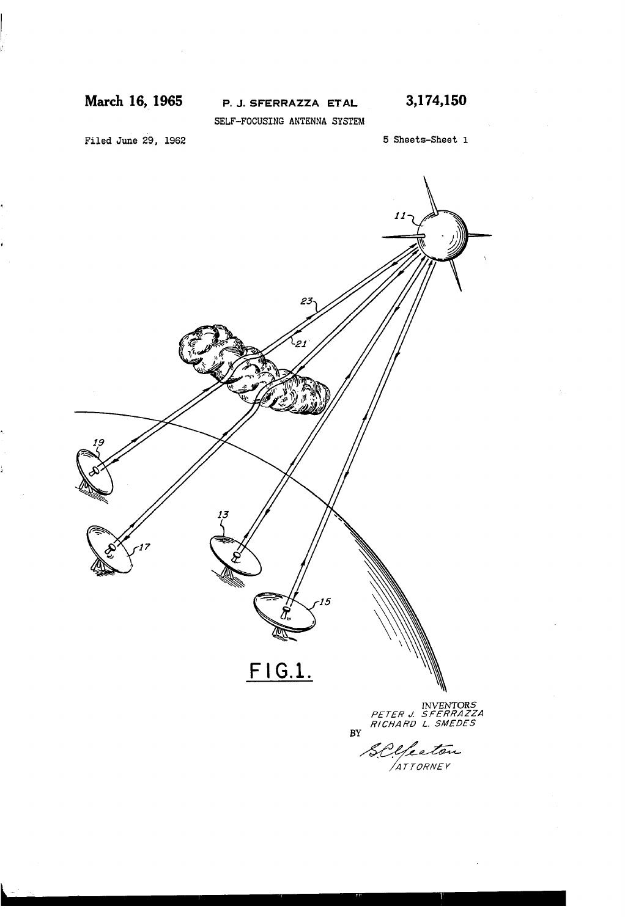5 Sheets-Sheet

Filed June 29, 1962

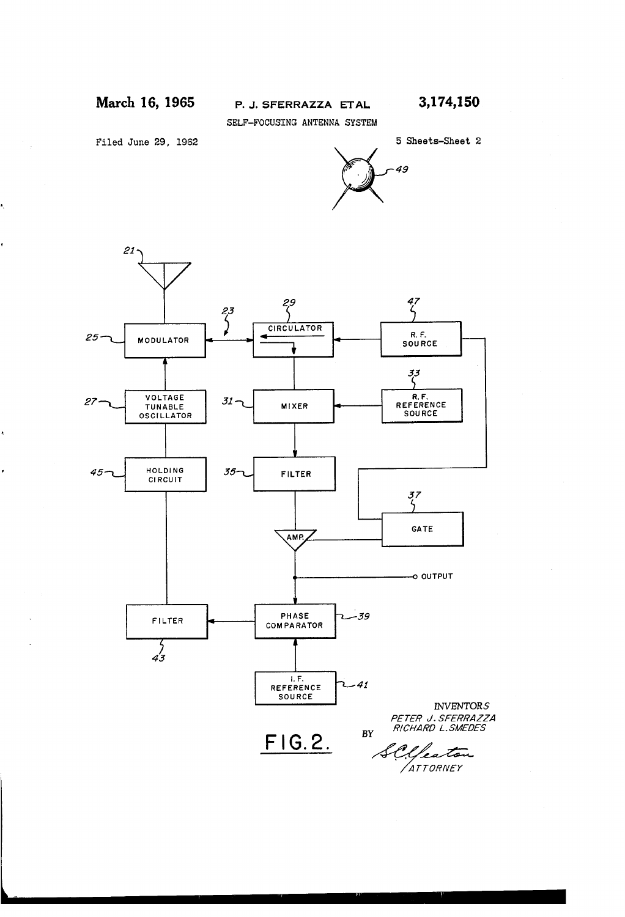

.F. ReferenCE  $-41$ ι SOURCE INVENTORS PETER J.SFERRAZZA FIG.2. BY FIGHARD LISHEDES A/CA/AAD L. SMEOES FIG. 2. BY HICHARD L.SMEDI

- 39

PHASE

COMPARATOR

**FILTER** 

 $\frac{2}{43}$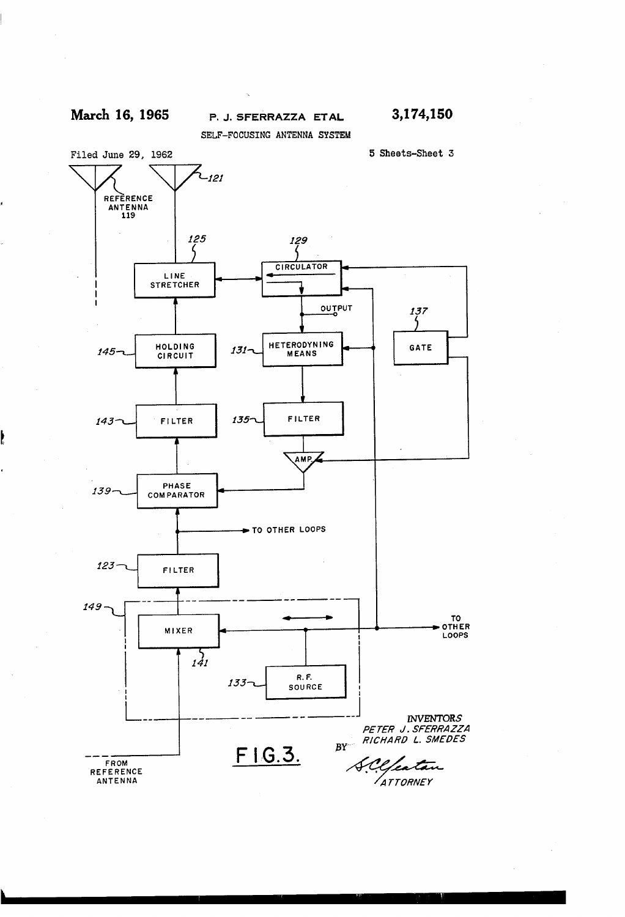

Į

## March 16, 1965 P. J. SFERRAZZA ETAL 3,174,150

SELF-FOCUSING ANTENNA SySTEM

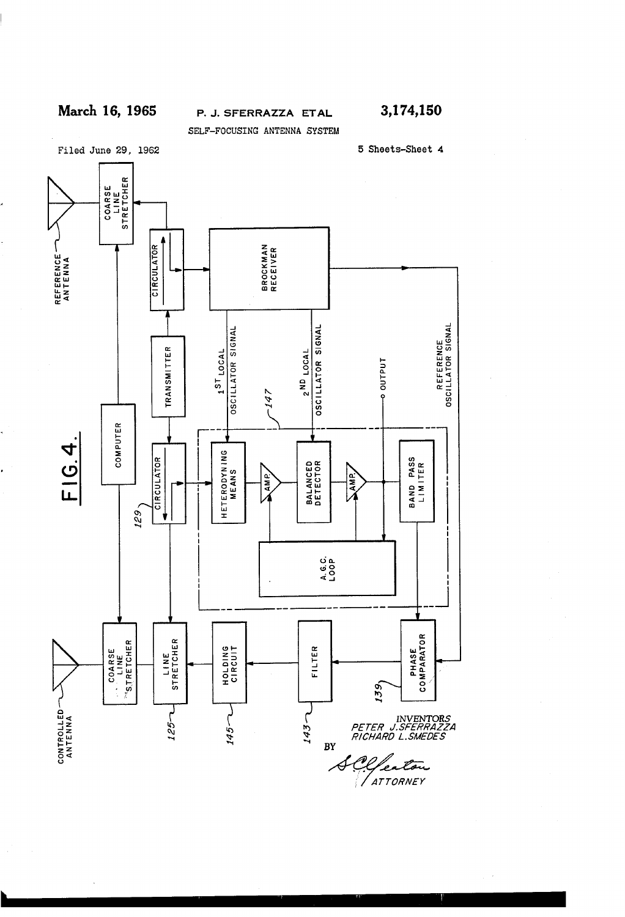

ATTORNEY

March 16, 1965

## P. J. SFERRAZZA ETAL

3,174,150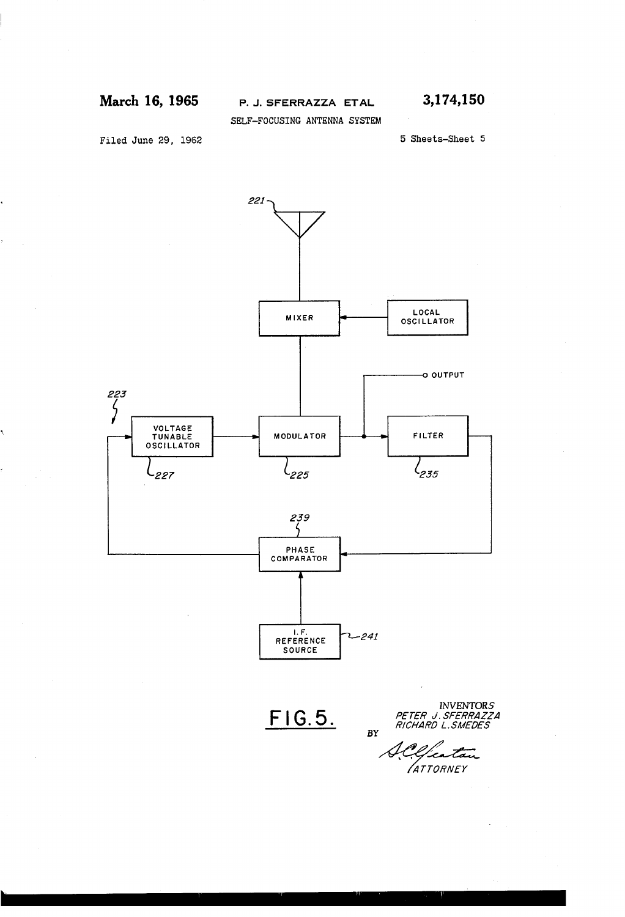SELF-FOCUSING ANTENNA SYSTEM

Filed June 29, 1962 5 Sheets-Sheet 5

١

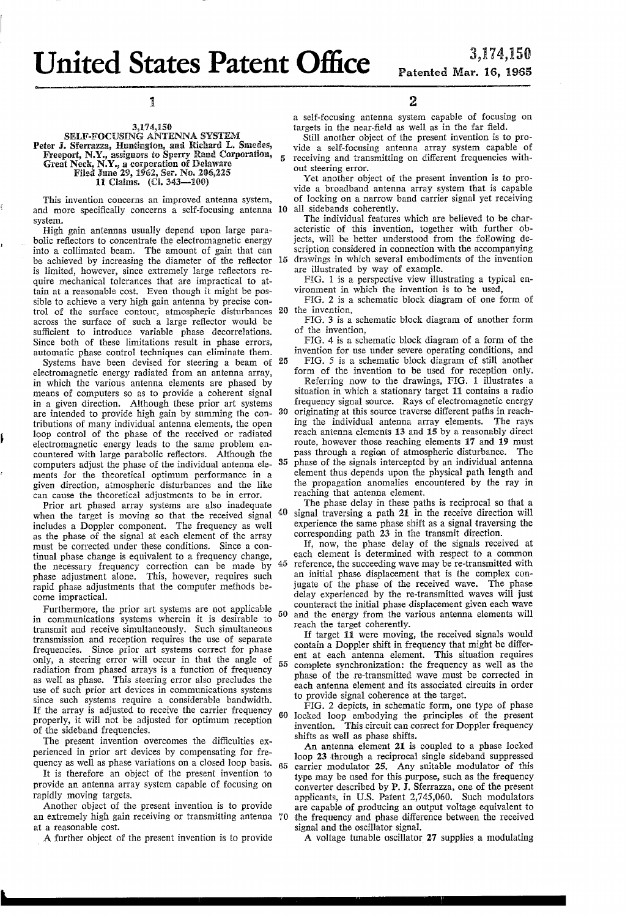1

## 3,174,150<br>SELF-FOCUSING ANTENNA SYSTEM Peter J. Sferrazza, Huntington, and Richard L. Smedes, Freeport, N.Y., assignors to Sperry Rand Corporation,<br>
Great Neck, N.Y., assignors to Sperry Rand Corporation,<br>
Great Neck, N.Y., a corporation of Delaware<br>
Filed June 29, 1962, Ser. No. 206,225<br>
11 Claims. (Cl. 343—100)  $\overline{5}$

This invention concerns an improved antenna system, and more specifically concerns a self-focusing antenna 10 all sidebands coherently. system.

High gain antennas usually depend upon large parabolic reflectors to concentrate the electromagnetic energy into a collimated beam. The amount of gain that can be achieved by increasing the diameter of the reflector 15 is limited, however, since extremely large reflectors require mechanical tolerances that are impractical to attain at a reasonable cost. Even though it might be possible to achieve a very high gain antenna by precise control of the surface contour, atmospheric disturbances 20 the invention, across the surface of such a large reflector would be sufficient to introduce variable phase decorrelations. Since both of these limitations result in phase errors, automatic phase control techniques can eliminate them.

Systems have been devised for steering a beam of 25 electromagnetic energy radiated from an antenna array, in which the various antenna elements are phased by means of computers so as to provide a coherent signal in a given direction. Although these prior art systems are intended to provide high gain by summing the con- 30 tributions of many individual antenna elements, the open loop control of the phase of the received or radiated electromagnetic energy leads to the same problem encountered with large parabolic reflectors. Although the computers adjust the phase of the individual antenna ele- 35 ments for the theoretical optimum performance in a given direction, atmospheric disturbances and the like can cause the theoretical adjustments to be in error.

Prior art phased array systems are also inadequate when the target is moving so that the received signal includes a Doppler component. The frequency as well as the phase of the signal at each element of the array must be corrected under these conditions. Since a continual phase change is equivalent to a frequency change,  $45$ the necessary frequency correction can be made by phase adjustment alone. This, however, requires such rapid phase adjustments that the computer methods become impractical.

Furthermore, the prior art systems are not applicable in communications systems wherein it is desirable to transmit and receive simultaneously. Such simultaneous transmission and reception requires the use of separate frequencies. Since prior art systems correct for phase only, a steering error will occur in that the angle of  $55$ radiation from phased arrays is a function of frequency as well as phase. This steering error also precludes the use of such prior art devices in communications systems since such systems require a considerable bandwidth. If the array is adjusted to receive the carrier frequency<br>properly, it will not be adjusted for optimum reception of the sideband frequencies.

The present invention overcomes the difficulties experienced in prior art devices by compensating for frequency as well as phase variations on a closed loop basis.  $65$ 

It is therefore an object of the present invention to provide an antenna array system capable of focusing on rapidly moving targets.

Another object of the present invention is to provide an extremely high gain receiving or transmitting antenna 70 at a reasonable cost.

A further object of the present invention is to provide

 $\overline{2}$ 

a self-focusing antenna system capable of focusing on targets in the near-field as well as in the far field.

Still another object of the present invention is to provide a self-focusing antenna array system capable of receiving and transmitting on different frequencies without steering error.

Yet another object of the present invention is to provide a broadband antenna array system that is capable of locking on a narrow band carrier signal yet receiving

The individual features which are believed to be characteristic of this invention, together with further objects, will be better understood from the following description considered in connection with the accompanying drawings in which several embodiments of the invention are illustrated by way of example.

FIG. 1 is a perspective view illustrating a typical environment in which the invention is to be used,

FIG. 2 is a schematic block diagram of one form of

FIG. 3 is a schematic block diagram of another form of the invention,

FIG. 4 is a schematic block diagram of a form of the invention for use under severe operating conditions, and

FIG. 5 is a schematic block diagram of still another form of the invention to be used for reception only. Referring now to the drawings, FIG. 1 illustrates a situation in which a stationary target 11 contains a radio frequency signal source. Rays of electromagnetic energy originating at this source traverse different paths in reaching the individual antenna array elements. The rays reach antenna elements 13 and 15 by a reasonably direct

route, however those reaching elements 17 and 19 must pass through a region of atmospheric disturbance. The phase of the signals intercepted by an individual antenna element thus depends upon the physical path length and the propagation anomalies encountered by the ray in reaching that antenna element.

The phase delay in these paths is reciprocal so that a signal traversing a path 21 in the receive direction will experience the same phase shift as a signal traversing the corresponding path 23 in the transmit direction.

If, now, the phase delay of the signals received at each element is determined with respect to a common reference, the succeeding wave may be re-transmitted with an initial phase displacement that is the complex conjugate of the phase of the received wave. The phase delay experienced by the re-transmitted waves will just counteract the initial phase displacement given each wave 50 and the energy from the various antenna elements will reach the target coherently.

If target 11 were moving, the received signals would contain a Doppler shift in frequency that might be different at each antenna element. This situation requires complete synchronization: the frequency as well as the phase of the re-transmitted wave must be corrected in each antenna element and its associated circuits in order to provide signal coherence at the target.

FIG. 2 depicts, in schematic form, one type of phase 60 locked loop embodying the principles of the present<br>invention. This circuit can correct for Doppler frequency shifts as well as phase shifts.

An antenna element 21 is coupled to a phase locked loop 23 through a reciprocal single sideband suppressed carrier modulator 25. Any suitable modulator of this type may be used for this purpose, such as the frequency converter described by P. J. Sferrazza, one of the present applicants, in U.S. Patent 2,745,060. Such modulators are capable of producing an output voltage equivalent to the frequency and phase difference between the received

signal and the oscillator signal. A voltage tunable oscillator 27 supplies a modulating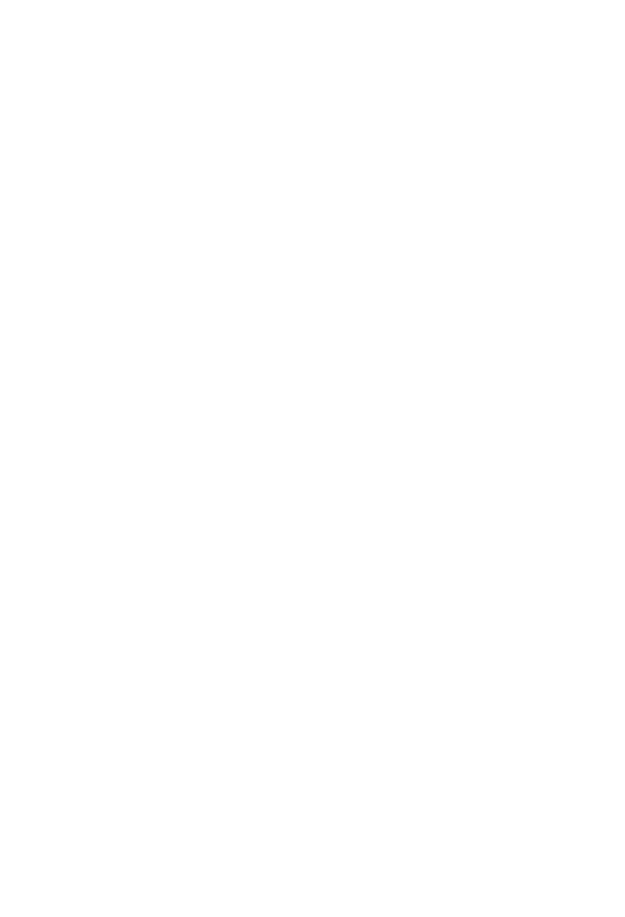$\overline{5}$ 

50

signal to the modulator 25. The difference signal from the modulator 25 is fed through a circulator 29 to a mixer 31 where it is subtracted from the output of the radio frequency reference voltage source 33. The reference source 33 generates voltages at a frequency equal to that which finally reaches the target, as will be demonstrated later. A low pass filter 35 is coupled to the output of the mixer 31 to assure that only the lower sideband or difference frequency obtained from the mixer 31 is passed. A gate 37 switches the circuit alternately between the  $_{10}$ transmit and receive conditions. During the receive portion of the cycle, the gate 37 permits signals to be passed to a conventional phase comparator 39. During the transmit portion of the cycle, the gate 37 permits energy from a radio frequency source 47 to be passed to  $_{15}$ the circulator 29. The phase comparator receives the loop signal as well as a signal from the intermediate frequency reference source 41. The phase of the output signal from the source 41 determines the phase of the signal reaching the target. The comparator 39 produces an output voltage whenever the frequency or phase of the signal from the loop departs from the signal from the reference 41. Any output from the phase comparator 39 is smoothed by a filter 43 and passed to a conventional pulse stretcher or holding circuit 45. The voltage  $25$ tunable oscillator 27 produces a modulating voltage whose frequency and phase are determined by the voltage applied to its input terminals. A variety of types of oscillators are available for this purpose. Typical of these are the oscillators described in the article: "Reactance 30 Tube Modulation of Phase Shift Oscillators" by Dennis and Felch, pp. 601-7 of the Bell System Technical Journal for October 1949.

The radio frequency source 47 provides energy for transmission. The frequency of this source is made to 35 be numerically equal to the sum of the frequencies of the outputs of the source 33 and the source 41. The source 47 is coupled to the antenna 21 through the circulator 29 and the modulator 25.

The entire antenna array system typically comprises 40 several antenna elements 21 coupled to their respective loops 23. Each loop is fed by the common reference sources 33 and 41 and by the common transmitter source 47.

To better understand the operation of this embodiment  $_{45}$ of the invention, assume that the first signal has just been returned from the target. Assume further that the phase of this signal is retarded and the Doppler frequency shift is such that the received frequency is lower than the frequency reflected from the target.

The output of the modulator will be equal to the received signal minus some initial modulating signal supplied by the oscillator. This output signal of the modulator may be considered as being composed of a known component plus an unknown component. The known 55 component is equal in frequency to that of the signal actually reflected at the target and therefore equal to the signal at reference source 33. The unknown component includes the Doppler frequency and the phase delay of the received wave plus the frequency and phase charac-  $60$ teristics of whatever modulating signal is supplied by the oscillator. The modulator output signal, in passing through mixer 31 and filter 35, is subtracted from the reference voltage from source 33. Since the signal from source 33 is equal to the known component of the modu-  $65$ lator output voltage, only the unknown component is passed on to phase comparator 39. This unknown component will initially differ from the intermediate frequency reference voltage from source 41 and thus produce an error voltage tending to change the frequency  $70$ and phase of oscillator 27. This transitory situation will exist until the oscillator produces a modulating voltage such that no signal appears at the output of the phase comparator. When this balanced condition exists, the unknown component being supplied to the phase com-  $75$ 

parator from filter 35 is equal to the intermediate frequency reference source 41. Therefore, the frequency of the signal from source 41 is equal to the sum of the Doppler and the modulating frequencies. Or stated as a corollary, the modulating frequency at balance is equal to the difference of a frequency from source 41 and the

Doppler frequency. Similarly, under these conditions, the phase angle of the modulating signal will be equal to the difference between the phase of the signal from source 41 and the phase delay of the received signal.

The oscillator will be maintained at this setting by holding circuit 45 during the succeeding transmit period. The signal from source 47 has a frequency equal to the

sum of the frequencies of source 33 and source 41. In passing through the modulator, the modulating frequency will be subtracted from this transmitter frequency. Since the modulating frequency is equal to the difference between the frequency of source 41 and the Doppler frequency, the frequency radiated from antenna element 21 will be equal to the frequency of source 33 plus the Doppler frequency. The phase of the radiated signal will be advanced from the phase of the signal from reference source 41 by an amount equal to the phase delay of the received signal.

In travelling to the target, the signal will experience a phase delay and frequency shift just sufficient to counteract the initial displacement from the references given to the radiated signal. The portions of the composite signal from the individual antenna elements of the array will arrive at the target coherently.

The foregoing explanation assumed a Doppler shift such that the received signal was lower in frequency than the signal reflected from the target. If a Doppler shift is encountered in which the received wave has a higher frequency than the signal reflected from the target, the opposite correction will take place in the loop so that transmitted signal coherence at the target will still be obtained.

A somewhat similar embodiment of the invention may be used when the target position is restricted to the far field of the antenna array. Under these conditions, the Doppler frequency shift to each antenna element or focusing loop is identical since rays of energy to the various antenna elements are substantially parallel.

This embodiment of the invention comprises a reference antenna element and one or more controlled antenna elements. Each controlled element is coupled to an individual phase locked loop.

FIG. 3 illustrates a controlled antenna element and a typical circuit that may be associated with it in using this embodiment of the invention.

The reference antenna element 119 communicates with a mixer 141. Energy received by the reference antenna element causes a signal to enter the mixer 141 where it is mixed with a signal from a radio frequency source 133 to provide an intermediate frequency reference signal.

Portions of this reference signal as well as portions of the radio frequency source energy are coupled to each loop in the overall system.

An error signal controlled TEM mode line stretcher 125 in the phase locked loop communicates with the associated antenna element  $121$ . The line stretcher 125 may be constructed conveniently from conventional coaxial or planar transmission line operating in the TEM mode. The velocity of propagation associated with this mode is substantially independent of frequency and substantially equal to the free space velocity of electromagnetic energy. Because of this feature, beam steering errors inherent in ordinary phase shifters can be eliminated and high gains over broad bandwidths can be realized. Line stretchers of this type require a simple rotational or translational movement for their adjustment. Servomechanisms for converting an error signal into these types of mechanical movement are well known in the art.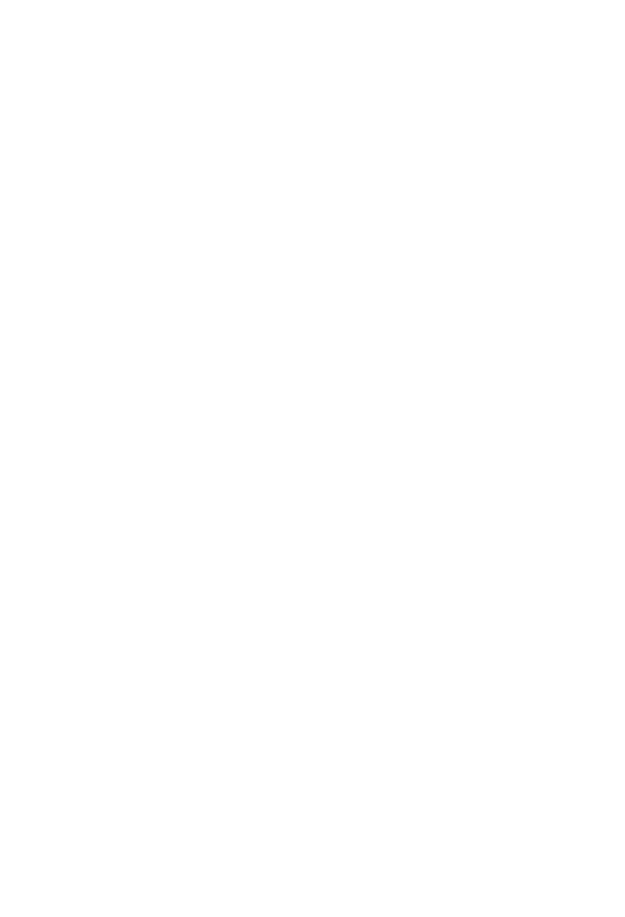The line stretcher 125 is coupled through the circulator 129 to a heterodyning means 131. The heterodyning means 131 is also coupled to the radio frequency source 133. Filter 135 and filter 123 preferably are designed to pass only the Doppler frequency component of the incoming signal. This provides the advantage of narrow band operation of the closed loop components without sacrificing wideband signal reception as will be demonstrated.

A gate  $137$  switches the circuit alternately between  $10$ the transmit and receive conditions. During the receive portion of the cycle, the gate 137 permits signals to be passed to the conventional phase comparator 139. During the transmit portion of the cycle, the gate 137 permits energy from the radio frequency source 133 to be cou- 15 pled to the circulator 129. A similar gate circuit and circulator may be employed in the reference antenna circuit for transmit and receive applications.

For applications in which this embodiment of the invention is to be used for reception only, it is sometimes 20 more convenient to replace the line stretcher with a variable delay line operating in the TEM mode. Such a delay line can be placed between the heterodyning means and the phase comparator so as to operate on the intermediate frequency energy. 25

The comparator 139 is also coupled to receive an intermediate frequency reference signal from mixer 141. Any output from comparator 139 is smoothed by low pass filter 143 and passed to holding circuit 145. Holding circuit 145 conveniently may comprise a conventional 30<br>pulse stretcher or "box car" circuit. Holding circuit 145 is coupled to the conventional mechanical servo control means in controlled line stretcher 125.

Radio frequency source 133 is coupled to a circulator 129 in each loop so that a portion of its output may  $35$ be supplied to the various antenna elements during periods of transmission.

To better understand the operation of this embodiment of the invention, assume that a signal containing an unknown Doppler shift and phase shift with respect to 40 source 133 reaches the antenna element 121. Another portion of the same wave front impinges on the reference antenna element 119, causing a signal to enter the mixer 141. The mixer 141 passes the difference frequency between the signal from the reference antenna  $45$ element 119 and the signal from source 133. Since the received signal comprises a frequency component equal to the transmitted frequency from the source 133 plus a Doppler frequency component, mixer 141 passes only this Doppler component. The mixer 141 and the source 133 constitute a reference source 149 from which the Doppler frequency output may be used as a reference signal for the various phase comparators in the system. The phase of this reference voltage is the same as the phase of the signal eventually reaching the target, as will 55 be demonstrated.

Another portion of this received signal passes directly from the antenna 121 to the line stretcher 125 where it experiences a phase shift depending upon the initial<br>adjustment of this member. The shifted signal passes<br>through circulator 129 to the heterodyning means 131. 60 This heterodyning means cooperating with low pass filter 135, provides a signal whose frequency is the difference<br>between that of the received signal and the signal from source 133. The frequency of this difference signal, how-65 ever, is the Doppler frequency of the received signal. The phase of this signal with respect to source 133 is equal to the phase delay of the received signal plus whatever phase displacement was provided to the signal in passing through line stretcher 125. This signal is cou-70 pled to phase comparator 139. Since the frequency of this signal and that of the reference are both equal to the Doppler frequency, the Doppler frequency variations in the received signal are automatically neutralized.

voltage output will be obtained from comparator 139. This voltage is coupled to the controlling elements in line stretcher 125 so that this member is adjusted until the phase of the signal reaching phase comparator 139 equals the phase of the reference signal from mixer 141. When this condition of balance has been attained, substantially no voltage will appear at the output terminals of the phase comparator 139 and the setting of the line stretcher 125 will remain fixed until a subsequent change in the received signal requires that a readjustment be made.

At balance, the phase change imparted to the received signal must be sufficient not only to overcome the phase delay of this signal with respect to the output of source 133, but also to shift the phase by an additional amount necessary to overcome the phase discrepancy between the outputs of the mixer 141 and the source 133. Or stated as a corollary, the line stretcher advances the phase of the received signal by an amount equal to the phase angle of the received signal with respect to the output of source 133 plus the phase angle of the output of the mixer 141 with respect to the output of the source 133.

The succeeding pulse of transmitter energy passes through the line stretcher and receives the same phase displacement as that experienced by the previous pulse of received energy. This transmitted signal, in travelling between the antenna and target, is delayed in phase by the same amount as that experienced by the previously received signal. Thus, the phase delay experienced by the transmitted signal in travelling from the antenna element to the target just counteracts that portion of the phase shift imparted by the line stretcher 125 that was used to overcome the delay in the received signal. The signal thus reaches the target with a phase angle just equal to that of the reference signal from the mixer 141. Since the portions of the signal from the individual antenna elements each arrive at the target with a phase angle equal to that of the reference, these signals are coherent. The frequency of the signal reaching the target will be different from the source 133 because of the Doppler shift, but since the Doppler shift in the case of a target in the far field is the same for each antenna element, the frequency of the signals from each antenna element will be identical.

Since the Doppler frequency shift of the received signals for a reflecting target, is the sum of the shifts experienced by the wave travelling to the target and back again, it can be of considerable magnitude. Thus, the frequency of the received wave can depart significantly from the frequency of the transmitted wave, and phase shifters used in the prior art devices are not applicable under these conditions. The angle of radiation from arrays using ordinary phase shifters is a function of frequency. By using TEM mode line stretchers however, the control is exercised by actually changing the electrical length of the loop.

It has been convenient to consider the action of the line stretcher 125 in terms of the phase shift produced by this member in describing the operation of the phase locked loop. However, the overall operation of the array when subjected to various frequencies can best be understood in terms of variations in loop path length.

A wave front of electromagnetic energy arriving at an angle to the plane of the array reaches the various antenna elements at successively different times. The physical lengths of the various loops are automatically adjusted so that the earlier received portions of this wave front pass through longer loop paths and all portions of the wave front arrive at the respective phase comparators simultaneously. The portions of the succeeding transmitter signal experience the same variations in loop path lengths and emanate from the various antenna elements in reverse succession to that of the received waves. The radiated energy thus forms a wave front that propagates back in the direction of the target.

Since the electrical length of TEM mode line stretchers Because of the original phase differential, however, a  $75$  is substantially the same as the free space wavelength for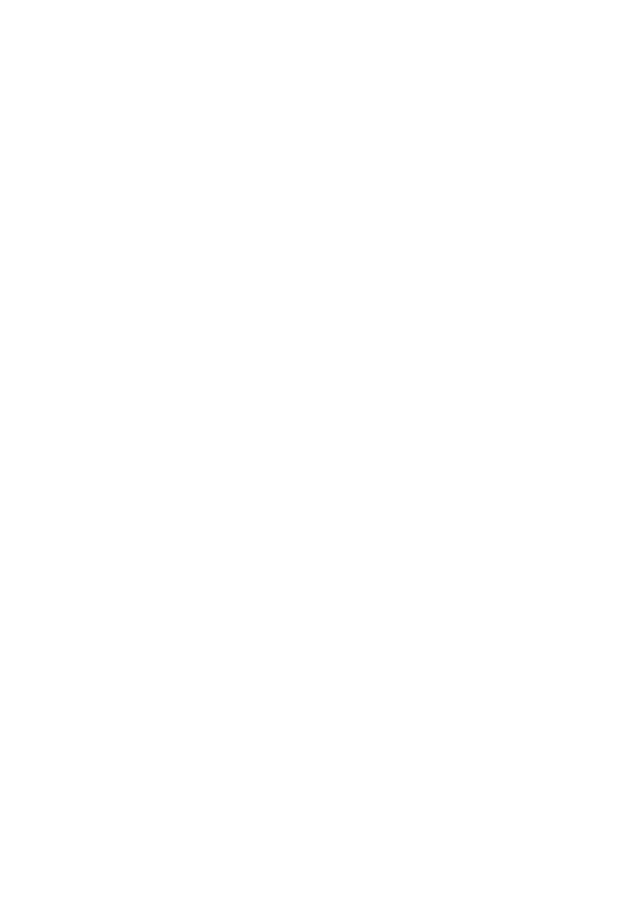$\overline{5}$ 

all frequencies in the range of interest, the received and transmitted waves have identical radiation directions regardless of the departure in frequency of the received wave from the frequency of the transmitted wave.

Although the circuit of FIG. 3 has been described for time-sharing operation in which periods of reception are alternated with periods of transmission, it will be appreciated that this basic circuit can be readily adapted for duplex communication use in which signals are transmitted to the target at the same time that signals of a different  $10$ frequency are received from a transmitter in the target. This requires only that the circulator be in the form of a diplexer so that the receiver may be isolated from the reflections of the antenna circuit. Holding circuit 145 can be adjusted for minimum pulse stretching in this ap- 15 be again self-adjusted by means of the closed loop so as plication and gate 137 can be set to close both circuits. The frequency departure of the received signal from the transmitted signal is again neutralized in the phase comparator since the reference signal itself is a function of the frequency of the received signal.

The line stretchers 125 are again automatically adjusted in response to the received wave. The direction of propagation of the simultaneously transmitted wave is determined by this adjustment.

It will be further appreciated that this circuit is useful 25 in high gain communication systems since the system can operate on a narrow bandwidth so as to adjust automatically to the phase and frequency of the carrier, yet operate as a wide band system adjusted to transmit and receive all sidebands coherently.

Consider an array of antenna elements in which the individual elements are adjusted in phase by ordinary phase shifters. A wave front of electromagnetic energy consisting of a single frequency carrier arriving at an angle to the plane of the array, will reach the individual 35 antenna elements at successively different times. These delays in arrival time are equivalent to specific phase delays at the carrier frequency. The phase shifters can be adjusted to compensate for these resulting phase delays and to bring the individual signals into coherence at some 40 point in the circuit. If now, the carrier is modulated, sideband frequencies will appear in addition to the carrier frequencies. The delay in arrival time of the wave front at the various antenna elements represents a different phase shift for each of these individual frequencies. The 45 phase shift that was used to bring the portions of the carrier signal into coherence will not serve to bring the sideband frequencies into coherence.

Consider, however, the case of a system such as that depicted in FIG. 3 in which a TEM mode line stretcher is used to bring the various portions of the signal into coherence. Variations in times of arrival at the various antenna elements are compensated by adjusting the path lengths of the various loops. The adjutsed loop lengths are the same for the sideband frequencies as for the carrier frequency. The signals are coherent regardless of frequency. In this way, maximum gain for a wideband communication system is automatically achieved by using just the carrier frequency for adjustment. The loop can employ narrow band filters 123 and 135 that pass only the modulation product that corresponds to the difference between the carrier frequency of the received wave and the frequency of the source 133. This provides efficient noise elimination and rapid loop response without sacrificing the necessary bandwidth for the intelligence-carrying sideband frequencies.

Although the circuit of FIG. 3 will adjust properly when the signals reaching the various antenna elements are within a wavelength, a certain amount of ambiguity results from the fact that the individual loops can lock on a succeeding wavefront and cause the system to operate at less than optimum efficiency. This ambiguity problem can be overcome by providing auxiliary means for obtaining a preliminary coarse adjustment. This can be accomplished conveniently by inserting additional coarse  $75$ 

line stretchers in each antenna lead. These coarse line stretchers can then be adjusted manually or by means of computers, after which time the closed loop line stretchers 125 can be adjusted precisely by the loop components.

The coarse line stretchers may conveniently employ TEM mode coaxial or planar transmisison line devices. In situations involving widely spaced antenna elements, known variable delay lines employing magnetic recording techniques may be used if desired.

In situations, for instance, in which a system is alternately switched between the transmitting and receiving functions, the coarse line stretchers can be adjusted by a computer during the transmit portion of the cycle. During the next receive portion of the cycle, the system can

to remove any accumulated errors.

Although the basic circuit of FIG. 3 is adequate for many applications in which the target remains in the far field, it will be appreciated that refinements of this basic

circuit may be used when more elaborate transmission 20 systems are involved.

Radio links with artificial satellites, for instance, might involve numerous telemetry channels. For such applications, the basic circuit of FIG. 3 may be modified for use with a more complex receiver.

FIG. 4 depicts such a modified circuit used in conjunction with a particular radio tracking and communication receiver described by M. H. Brockman et al. on pages 643-654 of the Proc. of the I.R.E. for April 1960. The

 $30<sub>3</sub>$ Brockman receiver employs a phase-coherent, double conversion superheterodyne system that may be used in the reference antenna circuit to provide first and second local oscillator signals as well as a reference oscillator signal to the various phase lock loops.

The double conversion means and A.G.C. loop 147 of the Brockman receiver may be further used in each phase lock loop in place of the corresponding heterodyning means 131 of the basic circuit.

The circuit of FIG. 4 also may incorporate a computertuned coarse line stretcher in each antenna lead.

Each of the previously described loops can be used as self-locking loops operating on received signals only. Coherent signals can be taken from appropriate points such as the loop input to the comparators. However, in applications in which it is desired to use the antenna system only for reception, the circuit can be simplified by eliminating the circulator.

A simplified circuit for this type of service is illustrated in FIG. 5. In this circuit, electromagnetic energy is received by an antenna array element 221, converted  $50$ to a convenient intermediate frequency, and coupled to a phase-locked loop 223. This incoming signal is mixed in modulator 225 with the output of voltage tunable oscillator 227. The output of modulator 225 is passed through an intermediate frequency tuned filter 235 to 55 phase comparator 239. Intermediate frequency reference 241 is coupled to each phase comparator in the system. The output of the phase comparator is used to adjust the frequency output of oscillator 227 as explained with reference to oscillator 27 of FIG. 2. A coherent signal 60 may be taken from each loop at the output of modulator 225.

The operation of this circuit can be better understood by considering the initial signal reaching antenna 221. Assume that this signal contains a Doppler frequency 65 component and has been retarded in phase. This signal is converted to an intermediate frequency and mixed with some initial modulating signal supplied by oscillator 227 in modulator 225. The output of this modulator is passed through filter 235 so that only the desired modula- $70$ tion product is passed on to the phase comparator.

Under the assumed conditions, the output of the filter, will in general, differ in phase and frequency from the output of standard reference 241 so that an error voltage will appear at the output of phase comparator 239. This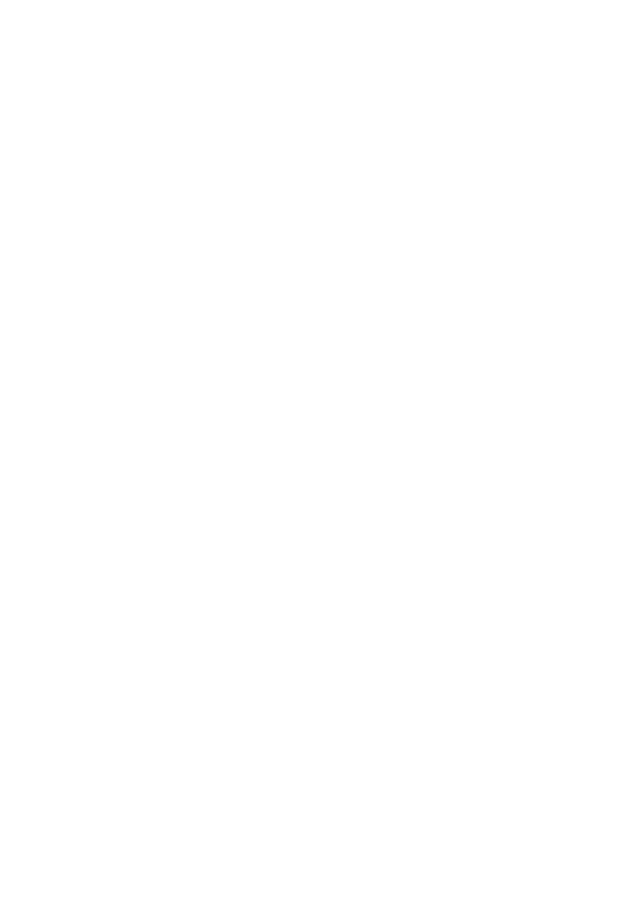error voltage will tend to change the frequency and phase of oscillator 227 so as to reduce the error voltage. This transistory situation will exist until the oscillator produces such a modulating voltage that substantially no signal appears at the output of the phase comparator. When this balanced condition is attained, the oscillator 227 will be providing a signal of such frequency and phase that when it is effectively subtracted from the incoming signal in modulator 225, a signal equal in phase and frequency to the intermediate frequency standard 10 reference will be coupled to the phase comparator. Since the intermediate frequency reference is common to all the loops, the loop signal being supplied to the phase comparators at balance is coherent in each loop.

ponent of the received signal to the standard reference frequency, and then the action of the feedback loop forces the phase of the signal to be locked to that of the standard. Since the circuits are all phase locked to the same standard, the sidebands may be added coherently. 20 Thus the signal-to-noise ratio of the array is equal to the number of individual antenna elements multiplied by the signal-to-noise ratio of one of these elements. The information-carrying sideband is prevented from affecting the loop by a narrow band filter 235. At balance, each 25 loop in the system will produce a sideband with essentially the same phase. For this reason the signals may be added coherently.

Although several embodiments of the invention have been shown and described, it is understood that numerous 30 and varied other arrangements can readily be devised in accordance with these principles by those skilled in the art without departing from the spirit and scope of the invention. 35

What is claimed is:

1. A high gain antenna system comprising a source of independently generated intermediate frequency reference voltage; a plurality of controlled antenna elements; a phase locked loop coupled to each controlled antenna ele-40 ment; each phase locked loop including correction means for adjusting the phase of a signal flowing in said loop, said correction means being connected to receive a signal directly from the associated antenna element, heterodyning means connected to receive a signal from said correction means for converting the signal in a portion of the 45 loop to a signal having a frequency equal to that of the reference voltage, a phase comparison means for producing an error voltage whenever the phase of the loop signal differs from the phase of the reference voltage, said correction means being responsive to the output of said 50 comparison means so as to adjust the phase of the loop signal until the error voltage disappears; and output means for extracting a coherent signal from each loop upon the reception of an electromagnetic wave by said antenna element. 55

2. A high gain antenna system comprising a source of independently generated intermediate frequency reference voltage, a plurality of controlled antenna elements, a phase locked loop coupled to each controlled antenna element, said loops each containing synchronizing means 60 connected to receive a signal directly from the associated antenna element, heterodyning means connected to receive a signal from said synchronizing means for producing a signal in a portion of said loop with a frequency equal to that of said reference voltage, comparison means 65 coupled to said source of reference voltage for producing an error voltage whenever the signal in said loop departs from synchronism with said reference voltage, control means coupled to receive the output of said comparison means, said synchronizing means being coupled to 70 said control means for correcting the signal in said loop whenever such signal departs from the reference, and signal output means for extracting a coherent signal from each loop upon the reception of an electromagnetic wave by said antenna elements.

3. A high gain antenna system for alternately transmitting and receiving electromagnetic energy comprising an intermediate frequency reference source; a radio frequency reference source; a radio frequency power source providing energy at a frequency equal to the sum of the frequencies provided by the two reference sources; a plurality of antenna elements; an individual phase locked loop coupled to each antenna element; said phase locked loops each including a modulator coupling the loop to the respective antenna element, frequency mixing means to produce a signal having a frequency equal to the difference in frequencies of the signal from said radio frequency reference source and a signal from said modulator, means for comparing the incoming mixing means out-In essence then, this circuit compares the carrier com- $15$  put signal in that loop to the intermediate frequency reference, means for compensating for the departure in phase and frequency of the received signal from the radio frequency reference, means for subtracting the amount of this departure from a subsequently transmitted signal, output means for coupling a coherent signal to external utilization means upon the reception of an electromagnetic wave; and switching means for periodically coupling the source of radio frequency power to the antenna elements through the individual compensating means.

> 4. A self-focusing antenna system for alternately transmitting and receiving electromagnetic energy comprising a source of radio frequency energy, a reference source of intermediate frequency voltage, a plurality of antenna elements, an individual phase locked loop coupled to each antenna element, said phase locked loops each including a reciprocal single side band suppressed carrier modulator coupled to the associated antenna element for shifting the phase and frequency of the incoming signals, a phase comparator coupled to said modulator and to said reference source for obtaining an output voltage representative of the phase and frequency difference between the shifted incoming signal and the reference signal, a voltage tunable oscillator coupled to the output of said phase comparator and to said modulator so that the modulation frequency supplied to the modulator is changed until the output from said phase comparator reaches a predetermined minimum value, holding means for maintaining the desired modulation frequency throughout a transmitting cycle, and coupling means for connecting said radio frequency source to each antenna through the respective modulators so that the phase of the transmitted signal is shifted by the same amount as the preceding received signal.

5. A high gain antenna system responsive to signals containing a Doppler component comprising a reference source of intermediate frequency energy; a reference source of radio frequency energy; and a transmitter source of radio frequency energy having a frequency numerically equal to the sum of the frequencies of said intermediate frequency reference and said radio frequency reference; a plurality of antenna elements; individual phase locked loops coupled to each antenna element; said phase locked loops each including a voltage tunable oscillator, a reciprocal single sideband suppressed carrier modulator coupled to said voltage tunable oscillator and to the associated antenna element so as to provide an output equal in frequency and phase to the difference between the received signal and the voltage tunable oscillator signal, a mixer coupled to the output of said modulator and to said radio frequency reference source, comparison means coupled to said mixer and said intermediate frequency source so that an error signal is produced whenever the phase or frequency of the signal from said mixer departs from said intermediate frequency reference, conducting means interconnecting said phase comparator and said voltage tunable oscillator so that the frequency of the voltage tunable oscillator is adjusted upon reception of an electromagnetic wave until substantially no error signal appears at the output of the phase com-75 parator, output means for extracting a coherent signal